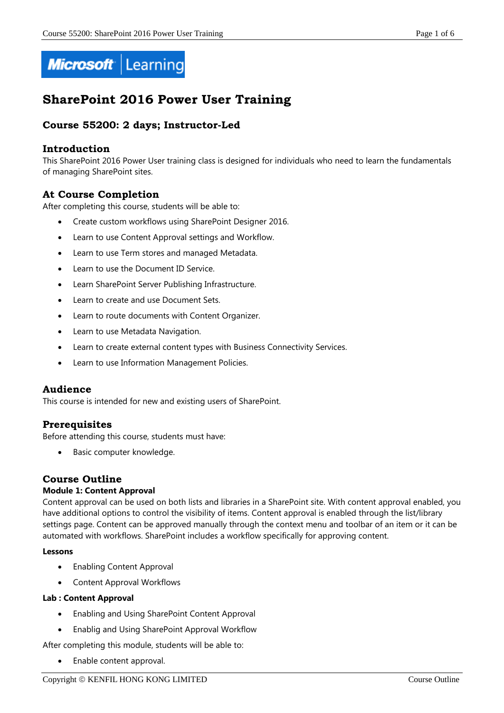

# **SharePoint 2016 Power User Training**

## **Course 55200: 2 days; Instructor-Led**

#### **Introduction**

This SharePoint 2016 Power User training class is designed for individuals who need to learn the fundamentals of managing SharePoint sites.

## **At Course Completion**

After completing this course, students will be able to:

- Create custom workflows using SharePoint Designer 2016.
- Learn to use Content Approval settings and Workflow.
- Learn to use Term stores and managed Metadata.
- Learn to use the Document ID Service.
- Learn SharePoint Server Publishing Infrastructure.
- Learn to create and use Document Sets.
- Learn to route documents with Content Organizer.
- Learn to use Metadata Navigation.
- Learn to create external content types with Business Connectivity Services.
- Learn to use Information Management Policies.

#### **Audience**

This course is intended for new and existing users of SharePoint.

## **Prerequisites**

Before attending this course, students must have:

Basic computer knowledge.

## **Course Outline**

#### **Module 1: Content Approval**

Content approval can be used on both lists and libraries in a SharePoint site. With content approval enabled, you have additional options to control the visibility of items. Content approval is enabled through the list/library settings page. Content can be approved manually through the context menu and toolbar of an item or it can be automated with workflows. SharePoint includes a workflow specifically for approving content.

#### **Lessons**

- Enabling Content Approval
- Content Approval Workflows

#### **Lab : Content Approval**

- Enabling and Using SharePoint Content Approval
- Enablig and Using SharePoint Approval Workflow

After completing this module, students will be able to:

Enable content approval.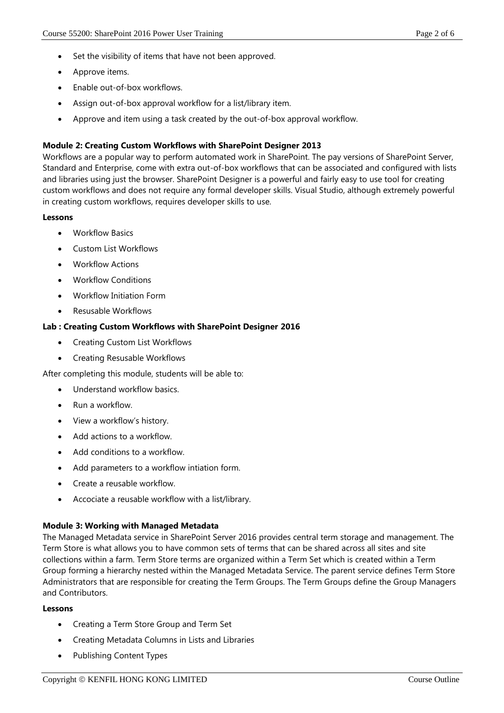- Set the visibility of items that have not been approved.
- Approve items.
- Enable out-of-box workflows.
- Assign out-of-box approval workflow for a list/library item.
- Approve and item using a task created by the out-of-box approval workflow.

#### **Module 2: Creating Custom Workflows with SharePoint Designer 2013**

Workflows are a popular way to perform automated work in SharePoint. The pay versions of SharePoint Server, Standard and Enterprise, come with extra out-of-box workflows that can be associated and configured with lists and libraries using just the browser. SharePoint Designer is a powerful and fairly easy to use tool for creating custom workflows and does not require any formal developer skills. Visual Studio, although extremely powerful in creating custom workflows, requires developer skills to use.

#### **Lessons**

- Workflow Basics
- Custom List Workflows
- Workflow Actions
- Workflow Conditions
- Workflow Initiation Form
- Resusable Workflows

#### **Lab : Creating Custom Workflows with SharePoint Designer 2016**

- Creating Custom List Workflows
- Creating Resusable Workflows

After completing this module, students will be able to:

- Understand workflow basics.
- Run a workflow.
- View a workflow's history.
- Add actions to a workflow.
- Add conditions to a workflow.
- Add parameters to a workflow intiation form.
- Create a reusable workflow.
- Accociate a reusable workflow with a list/library.

#### **Module 3: Working with Managed Metadata**

The Managed Metadata service in SharePoint Server 2016 provides central term storage and management. The Term Store is what allows you to have common sets of terms that can be shared across all sites and site collections within a farm. Term Store terms are organized within a Term Set which is created within a Term Group forming a hierarchy nested within the Managed Metadata Service. The parent service defines Term Store Administrators that are responsible for creating the Term Groups. The Term Groups define the Group Managers and Contributors.

#### **Lessons**

- Creating a Term Store Group and Term Set
- Creating Metadata Columns in Lists and Libraries
- Publishing Content Types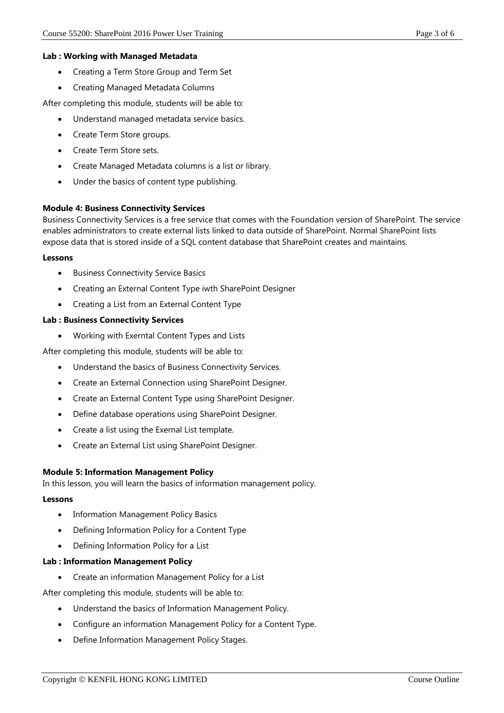## **Lab : Working with Managed Metadata**

- Creating a Term Store Group and Term Set
- Creating Managed Metadata Columns

After completing this module, students will be able to:

- Understand managed metadata service basics.
- Create Term Store groups.
- Create Term Store sets.
- Create Managed Metadata columns is a list or library.
- Under the basics of content type publishing.

#### **Module 4: Business Connectivity Services**

Business Connectivity Services is a free service that comes with the Foundation version of SharePoint. The service enables administrators to create external lists linked to data outside of SharePoint. Normal SharePoint lists expose data that is stored inside of a SQL content database that SharePoint creates and maintains.

#### **Lessons**

- Business Connectivity Service Basics
- Creating an External Content Type iwth SharePoint Designer
- Creating a List from an External Content Type

#### **Lab : Business Connectivity Services**

Working with Exerntal Content Types and Lists

After completing this module, students will be able to:

- Understand the basics of Business Connectivity Services.
- Create an External Connection using SharePoint Designer.
- Create an External Content Type using SharePoint Designer.
- Define database operations using SharePoint Designer.
- Create a list using the Exernal List template.
- Create an External List using SharePoint Designer.

## **Module 5: Information Management Policy**

In this lesson, you will learn the basics of information management policy.

#### **Lessons**

- Information Management Policy Basics
- Defining Information Policy for a Content Type
- Defining Information Policy for a List

## **Lab : Information Management Policy**

Create an information Management Policy for a List

After completing this module, students will be able to:

- Understand the basics of Information Management Policy.
- Configure an information Management Policy for a Content Type.
- Define Information Management Policy Stages.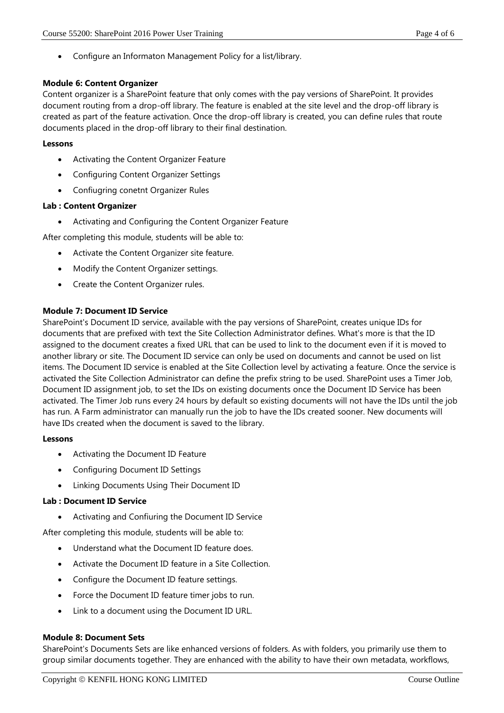Configure an Informaton Management Policy for a list/library.

#### **Module 6: Content Organizer**

Content organizer is a SharePoint feature that only comes with the pay versions of SharePoint. It provides document routing from a drop-off library. The feature is enabled at the site level and the drop-off library is created as part of the feature activation. Once the drop-off library is created, you can define rules that route documents placed in the drop-off library to their final destination.

#### **Lessons**

- Activating the Content Organizer Feature
- Configuring Content Organizer Settings
- Confiugring conetnt Organizer Rules

#### **Lab : Content Organizer**

Activating and Configuring the Content Organizer Feature

After completing this module, students will be able to:

- Activate the Content Organizer site feature.
- Modify the Content Organizer settings.
- Create the Content Organizer rules.

#### **Module 7: Document ID Service**

SharePoint's Document ID service, available with the pay versions of SharePoint, creates unique IDs for documents that are prefixed with text the Site Collection Administrator defines. What's more is that the ID assigned to the document creates a fixed URL that can be used to link to the document even if it is moved to another library or site. The Document ID service can only be used on documents and cannot be used on list items. The Document ID service is enabled at the Site Collection level by activating a feature. Once the service is activated the Site Collection Administrator can define the prefix string to be used. SharePoint uses a Timer Job, Document ID assignment job, to set the IDs on existing documents once the Document ID Service has been activated. The Timer Job runs every 24 hours by default so existing documents will not have the IDs until the job has run. A Farm administrator can manually run the job to have the IDs created sooner. New documents will have IDs created when the document is saved to the library.

#### **Lessons**

- Activating the Document ID Feature
- Configuring Document ID Settings
- Linking Documents Using Their Document ID

#### **Lab : Document ID Service**

Activating and Confiuring the Document ID Service

After completing this module, students will be able to:

- Understand what the Document ID feature does.
- Activate the Document ID feature in a Site Collection.
- Configure the Document ID feature settings.
- Force the Document ID feature timer jobs to run.
- Link to a document using the Document ID URL.

#### **Module 8: Document Sets**

SharePoint's Documents Sets are like enhanced versions of folders. As with folders, you primarily use them to group similar documents together. They are enhanced with the ability to have their own metadata, workflows,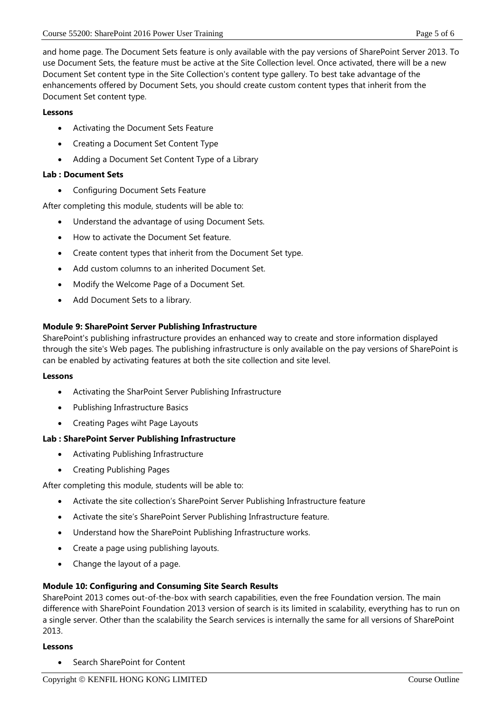and home page. The Document Sets feature is only available with the pay versions of SharePoint Server 2013. To use Document Sets, the feature must be active at the Site Collection level. Once activated, there will be a new Document Set content type in the Site Collection's content type gallery. To best take advantage of the enhancements offered by Document Sets, you should create custom content types that inherit from the Document Set content type.

#### **Lessons**

- Activating the Document Sets Feature
- Creating a Document Set Content Type
- Adding a Document Set Content Type of a Library

### **Lab : Document Sets**

Configuring Document Sets Feature

After completing this module, students will be able to:

- Understand the advantage of using Document Sets.
- How to activate the Document Set feature.
- Create content types that inherit from the Document Set type.
- Add custom columns to an inherited Document Set.
- Modify the Welcome Page of a Document Set.
- Add Document Sets to a library.

#### **Module 9: SharePoint Server Publishing Infrastructure**

SharePoint's publishing infrastructure provides an enhanced way to create and store information displayed through the site's Web pages. The publishing infrastructure is only available on the pay versions of SharePoint is can be enabled by activating features at both the site collection and site level.

#### **Lessons**

- Activating the SharPoint Server Publishing Infrastructure
- Publishing Infrastructure Basics
- Creating Pages wiht Page Layouts

#### **Lab : SharePoint Server Publishing Infrastructure**

- Activating Publishing Infrastructure
- Creating Publishing Pages

After completing this module, students will be able to:

- Activate the site collection's SharePoint Server Publishing Infrastructure feature
- Activate the site's SharePoint Server Publishing Infrastructure feature.
- Understand how the SharePoint Publishing Infrastructure works.
- Create a page using publishing layouts.
- Change the layout of a page.

#### **Module 10: Configuring and Consuming Site Search Results**

SharePoint 2013 comes out-of-the-box with search capabilities, even the free Foundation version. The main difference with SharePoint Foundation 2013 version of search is its limited in scalability, everything has to run on a single server. Other than the scalability the Search services is internally the same for all versions of SharePoint 2013.

#### **Lessons**

Search SharePoint for Content